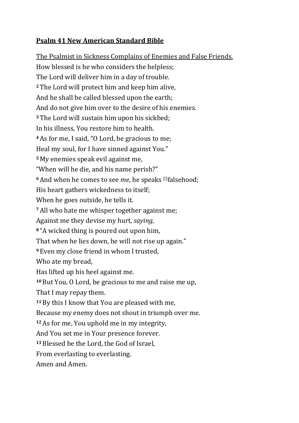## **Psalm 41 New American Standard Bible**

The Psalmist in Sickness Complains of Enemies and False Friends. How blessed is he who considers the helpless; The Lord will deliver him in a day of trouble. **<sup>2</sup>**The Lord will protect him and keep him alive, And he shall be called blessed upon the earth; And do not give him over to the desire of his enemies. **<sup>3</sup>**The Lord will sustain him upon his sickbed; In his illness, You restore him to health. **<sup>4</sup>**As for me, I said, "O Lord, be gracious to me; Heal my soul, for I have sinned against You." **<sup>5</sup>** My enemies speak evil against me, "When will he die, and his name perish?" **<sup>6</sup>**And when he comes to see *me*, he speaks [\[f\]](https://www.biblegateway.com/passage/?search=Psalms+41&version=NASB#fen-NASB-14549f) falsehood; His heart gathers wickedness to itself; When he goes outside, he tells it. **<sup>7</sup>**All who hate me whisper together against me; Against me they devise my hurt, *saying*, **<sup>8</sup>** "A wicked thing is poured out upon him, That when he lies down, he will not rise up again." **<sup>9</sup>** Even my close friend in whom I trusted, Who ate my bread, Has lifted up his heel against me. **<sup>10</sup>**But You, O Lord, be gracious to me and raise me up, That I may repay them. **<sup>11</sup>**By this I know that You are pleased with me, Because my enemy does not shout in triumph over me. **<sup>12</sup>**As for me, You uphold me in my integrity, And You set me in Your presence forever. **<sup>13</sup>**Blessed be the Lord, the God of Israel, From everlasting to everlasting. Amen and Amen.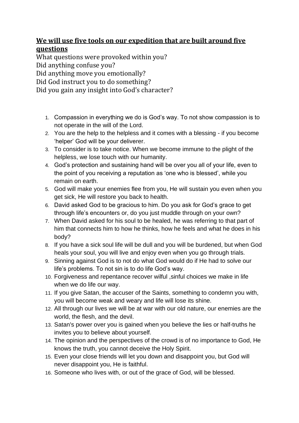## **We will use five tools on our expedition that are built around five questions**

What questions were provoked within you? Did anything confuse you? Did anything move you emotionally?

Did God instruct you to do something?

Did you gain any insight into God's character?

- 1. Compassion in everything we do is God's way. To not show compassion is to not operate in the will of the Lord.
- 2. You are the help to the helpless and it comes with a blessing if you become 'helper' God will be your deliverer.
- 3. To consider is to take notice. When we become immune to the plight of the helpless, we lose touch with our humanity.
- 4. God's protection and sustaining hand will be over you all of your life, even to the point of you receiving a reputation as 'one who is blessed', while you remain on earth.
- 5. God will make your enemies flee from you, He will sustain you even when you get sick, He will restore you back to health.
- 6. David asked God to be gracious to him. Do you ask for God's grace to get through life's encounters or, do you just muddle through on your own?
- 7. When David asked for his soul to be healed, he was referring to that part of him that connects him to how he thinks, how he feels and what he does in his body?
- 8. If you have a sick soul life will be dull and you will be burdened, but when God heals your soul, you will live and enjoy even when you go through trials.
- 9. Sinning against God is to not do what God would do if He had to solve our life's problems. To not sin is to do life God's way.
- 10. Forgiveness and repentance recover wilful ,sinful choices we make in life when we do life our way.
- 11. If you give Satan, the accuser of the Saints, something to condemn you with, you will become weak and weary and life will lose its shine.
- 12. All through our lives we will be at war with our old nature, our enemies are the world, the flesh, and the devil.
- 13. Satan's power over you is gained when you believe the lies or half-truths he invites you to believe about yourself.
- 14. The opinion and the perspectives of the crowd is of no importance to God, He knows the truth, you cannot deceive the Holy Spirit.
- 15. Even your close friends will let you down and disappoint you, but God will never disappoint you, He is faithful.
- 16. Someone who lives with, or out of the grace of God, will be blessed.